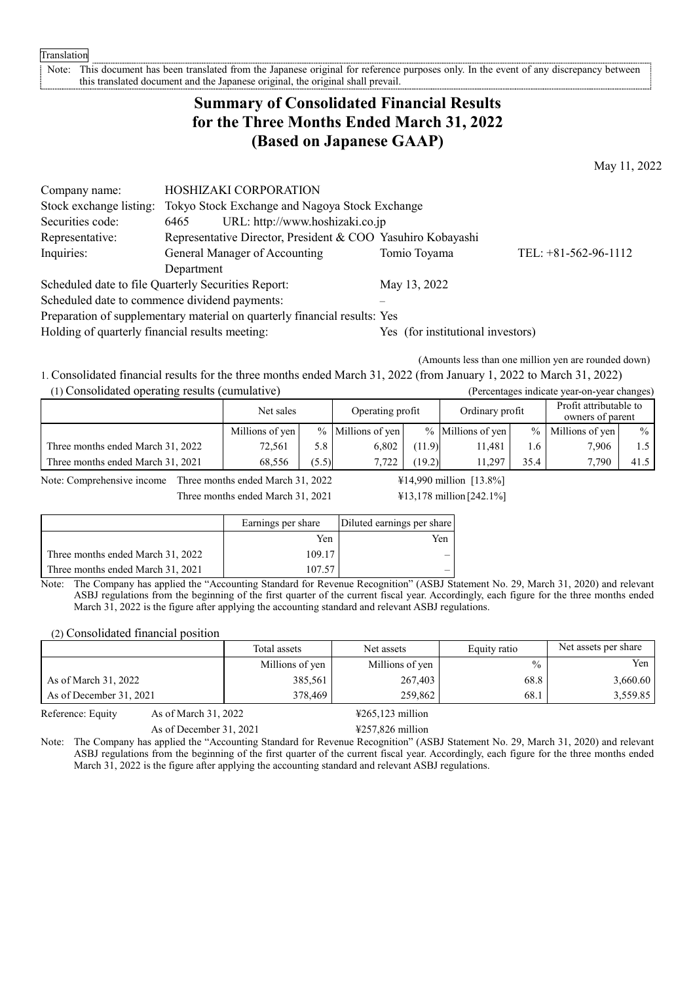Translation

Note: This document has been translated from the Japanese original for reference purposes only. In the event of any discrepancy between this translated document and the Japanese original, the original shall prevail this translated document and the Japanese original, the original shall prevail.

# **Summary of Consolidated Financial Results for the Three Months Ended March 31, 2022 (Based on Japanese GAAP)**

May 11, 2022

| Company name:                                                             | <b>HOSHIZAKI CORPORATION</b>                                |                                   |                        |  |  |
|---------------------------------------------------------------------------|-------------------------------------------------------------|-----------------------------------|------------------------|--|--|
| Stock exchange listing:                                                   | Tokyo Stock Exchange and Nagoya Stock Exchange              |                                   |                        |  |  |
| Securities code:                                                          | URL: http://www.hoshizaki.co.jp<br>6465                     |                                   |                        |  |  |
| Representative:                                                           | Representative Director, President & COO Yasuhiro Kobayashi |                                   |                        |  |  |
| Inquiries:                                                                | General Manager of Accounting                               | Tomio Toyama                      | TEL: $+81-562-96-1112$ |  |  |
|                                                                           | Department                                                  |                                   |                        |  |  |
|                                                                           | Scheduled date to file Quarterly Securities Report:         | May 13, 2022                      |                        |  |  |
|                                                                           | Scheduled date to commence dividend payments:               |                                   |                        |  |  |
| Preparation of supplementary material on quarterly financial results: Yes |                                                             |                                   |                        |  |  |
| Holding of quarterly financial results meeting:                           |                                                             | Yes (for institutional investors) |                        |  |  |

(Amounts less than one million yen are rounded down)

1. Consolidated financial results for the three months ended March 31, 2022 (from January 1, 2022 to March 31, 2022) (1) Consolidated operating results (cumulative) (Percentages indicate year-on-year changes)

|                                   | Net sales       |       | Operating profit    |        | Ordinary profit   |               | Profit attributable to<br>owners of parent |               |
|-----------------------------------|-----------------|-------|---------------------|--------|-------------------|---------------|--------------------------------------------|---------------|
|                                   | Millions of yen |       | $%$ Millions of yen |        | % Millions of yen | $\frac{0}{0}$ | Millions of yen                            | $\frac{0}{0}$ |
| Three months ended March 31, 2022 | 72,561          | 5.8   | 6,802               | (11.9) | 11.481            | . 6           | 7,906                                      |               |
| Three months ended March 31, 2021 | 68.556          | (5.5) | 7.722               | (19.2) | 11.297            | 35.4          | 7.790                                      | 41.5          |

Note: Comprehensive income Three months ended March 31, 2022  $\text{\#14,990}$  million [13.8%]

Three months ended March 31, 2021 ¥13,178 million [242.1%]

|                                   | Earnings per share | Diluted earnings per share |
|-----------------------------------|--------------------|----------------------------|
|                                   | Yen                | Yen                        |
| Three months ended March 31, 2022 | 109.17             |                            |
| Three months ended March 31, 2021 | 107.57             |                            |

Note: The Company has applied the "Accounting Standard for Revenue Recognition" (ASBJ Statement No. 29, March 31, 2020) and relevant ASBJ regulations from the beginning of the first quarter of the current fiscal year. Accordingly, each figure for the three months ended March 31, 2022 is the figure after applying the accounting standard and relevant ASBJ regulations.

(2) Consolidated financial position

|                         | Total assets    | Net assets      | Equity ratio  | Net assets per share |
|-------------------------|-----------------|-----------------|---------------|----------------------|
|                         | Millions of yen | Millions of yen | $\frac{0}{0}$ | Yen                  |
| As of March 31, 2022    | 385,561         | 267,403         | 68.8          | 3.660.60             |
| As of December 31, 2021 | 378,469         | 259,862         | 68.1          | 3,559.85             |

Reference: Equity As of March 31, 2022  $\frac{4265,123 \text{ million}}{200}$ 

As of December 31, 2021 ¥257,826 million

Note: The Company has applied the "Accounting Standard for Revenue Recognition" (ASBJ Statement No. 29, March 31, 2020) and relevant ASBJ regulations from the beginning of the first quarter of the current fiscal year. Accordingly, each figure for the three months ended March 31, 2022 is the figure after applying the accounting standard and relevant ASBJ regulations.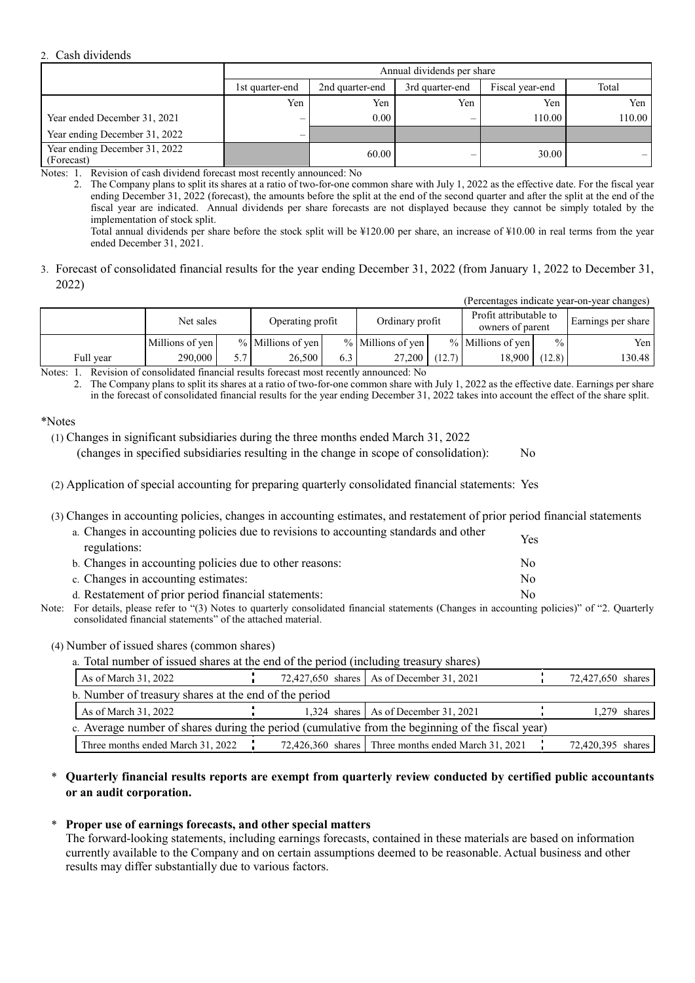#### 2. Cash dividends

|                                             |                 | Annual dividends per share |                          |                 |                          |  |  |  |  |
|---------------------------------------------|-----------------|----------------------------|--------------------------|-----------------|--------------------------|--|--|--|--|
|                                             | 1st quarter-end | 2nd quarter-end            | 3rd quarter-end          | Fiscal year-end | Total                    |  |  |  |  |
|                                             | Yen             | Yen                        | Yen                      | Yen             | Yen                      |  |  |  |  |
| Year ended December 31, 2021                |                 | $0.00 -$                   | $\overline{\phantom{0}}$ | 110.00          | 110.00                   |  |  |  |  |
| Year ending December 31, 2022               | —               |                            |                          |                 |                          |  |  |  |  |
| Year ending December 31, 2022<br>(Forecast) |                 | 60.00                      |                          | 30.00           | $\overline{\phantom{0}}$ |  |  |  |  |

Notes: 1. Revision of cash dividend forecast most recently announced: No

2. The Company plans to split its shares at a ratio of two-for-one common share with July 1, 2022 as the effective date. For the fiscal year ending December 31, 2022 (forecast), the amounts before the split at the end of the second quarter and after the split at the end of the fiscal year are indicated. Annual dividends per share forecasts are not displayed because they cannot be simply totaled by the implementation of stock split.

Total annual dividends per share before the stock split will be ¥120.00 per share, an increase of ¥10.00 in real terms from the year ended December 31, 2021.

3. Forecast of consolidated financial results for the year ending December 31, 2022 (from January 1, 2022 to December 31, 2022)

(Percentages indicate year-on-year changes)

|                                                                                                                                     | Net sales       |  | Operating profit    |     | Ordinary profit   |        | Profit attributable to<br>owners of parent |               | Earnings per share |
|-------------------------------------------------------------------------------------------------------------------------------------|-----------------|--|---------------------|-----|-------------------|--------|--------------------------------------------|---------------|--------------------|
|                                                                                                                                     | Millions of yen |  | $%$ Millions of yen |     | % Millions of yen |        | $%$ Millions of yen                        | $\frac{0}{0}$ | Yen <sub>1</sub>   |
| Full vear                                                                                                                           | 290,000         |  | 26,500              | 0.3 | 27,200            | (12.7) | 18.900                                     | (12.8)        | 130.48             |
| $\mathbf{M}$ and $\mathbf{M}$ and $\mathbf{M}$ and $\mathbf{M}$ and $\mathbf{M}$ and $\mathbf{M}$ and $\mathbf{M}$ and $\mathbf{M}$ |                 |  |                     |     |                   |        |                                            |               |                    |

Notes: 1. Revision of consolidated financial results forecast most recently announced: No

2. The Company plans to split its shares at a ratio of two-for-one common share with July 1, 2022 as the effective date. Earnings per share in the forecast of consolidated financial results for the year ending December 31, 2022 takes into account the effect of the share split.

#### \*Notes

(1) Changes in significant subsidiaries during the three months ended March 31, 2022 (changes in specified subsidiaries resulting in the change in scope of consolidation): No

- (2) Application of special accounting for preparing quarterly consolidated financial statements: Yes
- (3) Changes in accounting policies, changes in accounting estimates, and restatement of prior period financial statements

| a. Changes in accounting policies due to revisions to accounting standards and other | Yes |
|--------------------------------------------------------------------------------------|-----|
| regulations:                                                                         |     |
| b. Changes in accounting policies due to other reasons:                              | No. |
| c. Changes in accounting estimates:                                                  | No. |
| d. Restatement of prior period financial statements:                                 | Nο  |

Note: For details, please refer to "(3) Notes to quarterly consolidated financial statements (Changes in accounting policies)" of "2. Quarterly consolidated financial statements" of the attached material.

(4) Number of issued shares (common shares)

a. Total number of issued shares at the end of the period (including treasury shares)

| As of March 31, 2022                                                                             |  |  |  | 72,427,650 shares   As of December 31, 2021           |  | 72,427,650 shares |                |
|--------------------------------------------------------------------------------------------------|--|--|--|-------------------------------------------------------|--|-------------------|----------------|
| b. Number of treasury shares at the end of the period                                            |  |  |  |                                                       |  |                   |                |
| As of March $31, 2022$                                                                           |  |  |  | 1,324 shares   As of December 31, 2021                |  |                   | $1,279$ shares |
| c. Average number of shares during the period (cumulative from the beginning of the fiscal year) |  |  |  |                                                       |  |                   |                |
| Three months ended March 31, 2022                                                                |  |  |  | 72,426,360 shares   Three months ended March 31, 2021 |  | 72,420,395 shares |                |

### \* **Quarterly financial results reports are exempt from quarterly review conducted by certified public accountants or an audit corporation.**

#### \* **Proper use of earnings forecasts, and other special matters**

The forward-looking statements, including earnings forecasts, contained in these materials are based on information currently available to the Company and on certain assumptions deemed to be reasonable. Actual business and other results may differ substantially due to various factors.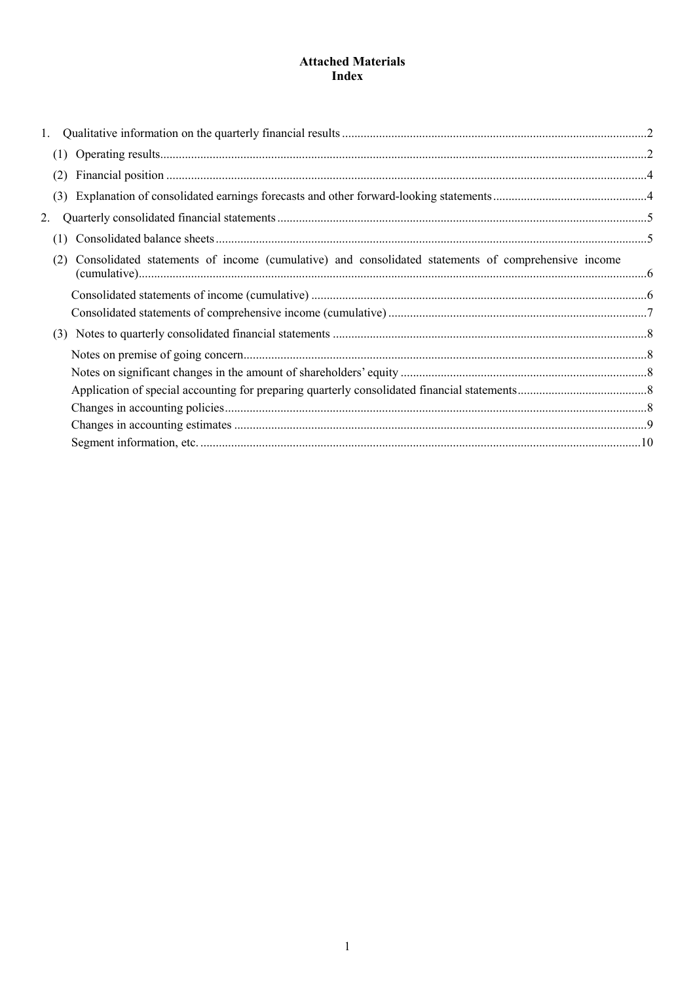## **Attached Materials Index**

| (2)                                                                                                       |  |
|-----------------------------------------------------------------------------------------------------------|--|
| (3)                                                                                                       |  |
|                                                                                                           |  |
| (1)                                                                                                       |  |
| Consolidated statements of income (cumulative) and consolidated statements of comprehensive income<br>(2) |  |
|                                                                                                           |  |
|                                                                                                           |  |
|                                                                                                           |  |
|                                                                                                           |  |
|                                                                                                           |  |
|                                                                                                           |  |
|                                                                                                           |  |
|                                                                                                           |  |
|                                                                                                           |  |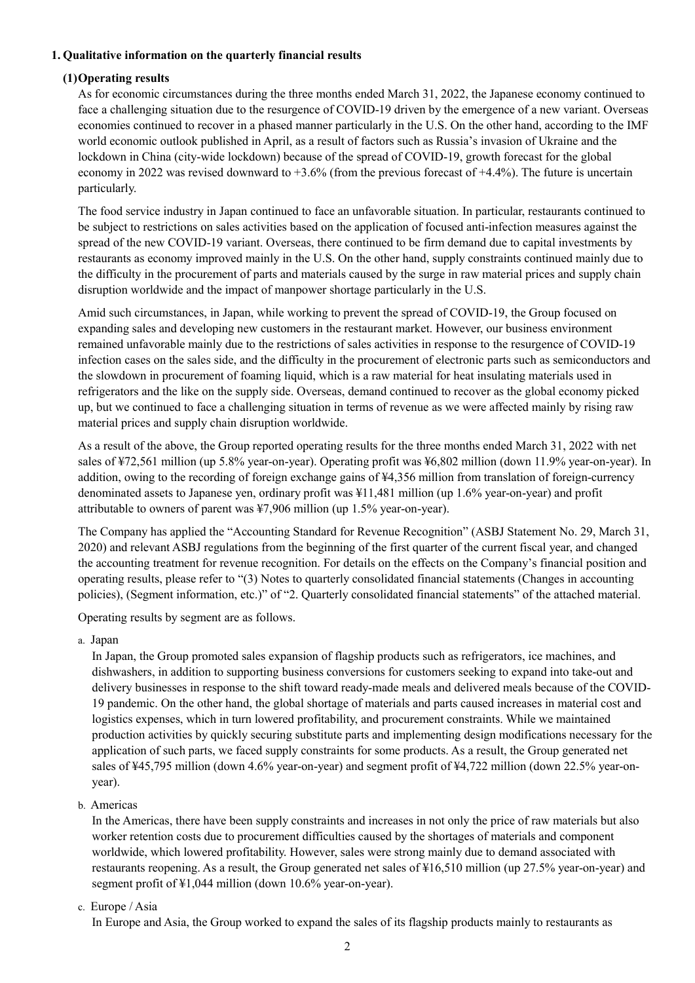### **1. Qualitative information on the quarterly financial results**

### **(1)Operating results**

As for economic circumstances during the three months ended March 31, 2022, the Japanese economy continued to face a challenging situation due to the resurgence of COVID-19 driven by the emergence of a new variant. Overseas economies continued to recover in a phased manner particularly in the U.S. On the other hand, according to the IMF world economic outlook published in April, as a result of factors such as Russia's invasion of Ukraine and the lockdown in China (city-wide lockdown) because of the spread of COVID-19, growth forecast for the global economy in 2022 was revised downward to +3.6% (from the previous forecast of +4.4%). The future is uncertain particularly.

The food service industry in Japan continued to face an unfavorable situation. In particular, restaurants continued to be subject to restrictions on sales activities based on the application of focused anti-infection measures against the spread of the new COVID-19 variant. Overseas, there continued to be firm demand due to capital investments by restaurants as economy improved mainly in the U.S. On the other hand, supply constraints continued mainly due to the difficulty in the procurement of parts and materials caused by the surge in raw material prices and supply chain disruption worldwide and the impact of manpower shortage particularly in the U.S.

Amid such circumstances, in Japan, while working to prevent the spread of COVID-19, the Group focused on expanding sales and developing new customers in the restaurant market. However, our business environment remained unfavorable mainly due to the restrictions of sales activities in response to the resurgence of COVID-19 infection cases on the sales side, and the difficulty in the procurement of electronic parts such as semiconductors and the slowdown in procurement of foaming liquid, which is a raw material for heat insulating materials used in refrigerators and the like on the supply side. Overseas, demand continued to recover as the global economy picked up, but we continued to face a challenging situation in terms of revenue as we were affected mainly by rising raw material prices and supply chain disruption worldwide.

As a result of the above, the Group reported operating results for the three months ended March 31, 2022 with net sales of ¥72,561 million (up 5.8% year-on-year). Operating profit was ¥6,802 million (down 11.9% year-on-year). In addition, owing to the recording of foreign exchange gains of ¥4,356 million from translation of foreign-currency denominated assets to Japanese yen, ordinary profit was ¥11,481 million (up 1.6% year-on-year) and profit attributable to owners of parent was ¥7,906 million (up 1.5% year-on-year).

The Company has applied the "Accounting Standard for Revenue Recognition" (ASBJ Statement No. 29, March 31, 2020) and relevant ASBJ regulations from the beginning of the first quarter of the current fiscal year, and changed the accounting treatment for revenue recognition. For details on the effects on the Company's financial position and operating results, please refer to "(3) Notes to quarterly consolidated financial statements (Changes in accounting policies), (Segment information, etc.)" of "2. Quarterly consolidated financial statements" of the attached material.

Operating results by segment are as follows.

a. Japan

In Japan, the Group promoted sales expansion of flagship products such as refrigerators, ice machines, and dishwashers, in addition to supporting business conversions for customers seeking to expand into take-out and delivery businesses in response to the shift toward ready-made meals and delivered meals because of the COVID-19 pandemic. On the other hand, the global shortage of materials and parts caused increases in material cost and logistics expenses, which in turn lowered profitability, and procurement constraints. While we maintained production activities by quickly securing substitute parts and implementing design modifications necessary for the application of such parts, we faced supply constraints for some products. As a result, the Group generated net sales of ¥45,795 million (down 4.6% year-on-year) and segment profit of ¥4,722 million (down 22.5% year-onyear).

b. Americas

In the Americas, there have been supply constraints and increases in not only the price of raw materials but also worker retention costs due to procurement difficulties caused by the shortages of materials and component worldwide, which lowered profitability. However, sales were strong mainly due to demand associated with restaurants reopening. As a result, the Group generated net sales of ¥16,510 million (up 27.5% year-on-year) and segment profit of ¥1,044 million (down 10.6% year-on-year).

c. Europe / Asia

In Europe and Asia, the Group worked to expand the sales of its flagship products mainly to restaurants as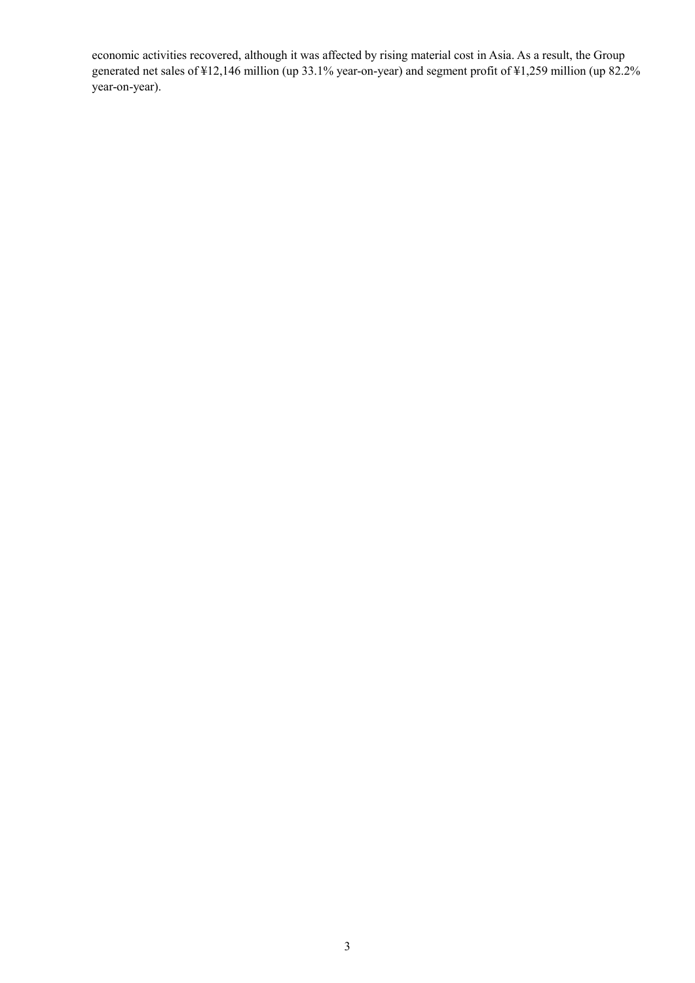economic activities recovered, although it was affected by rising material cost in Asia. As a result, the Group generated net sales of ¥12,146 million (up 33.1% year-on-year) and segment profit of ¥1,259 million (up 82.2% year-on-year).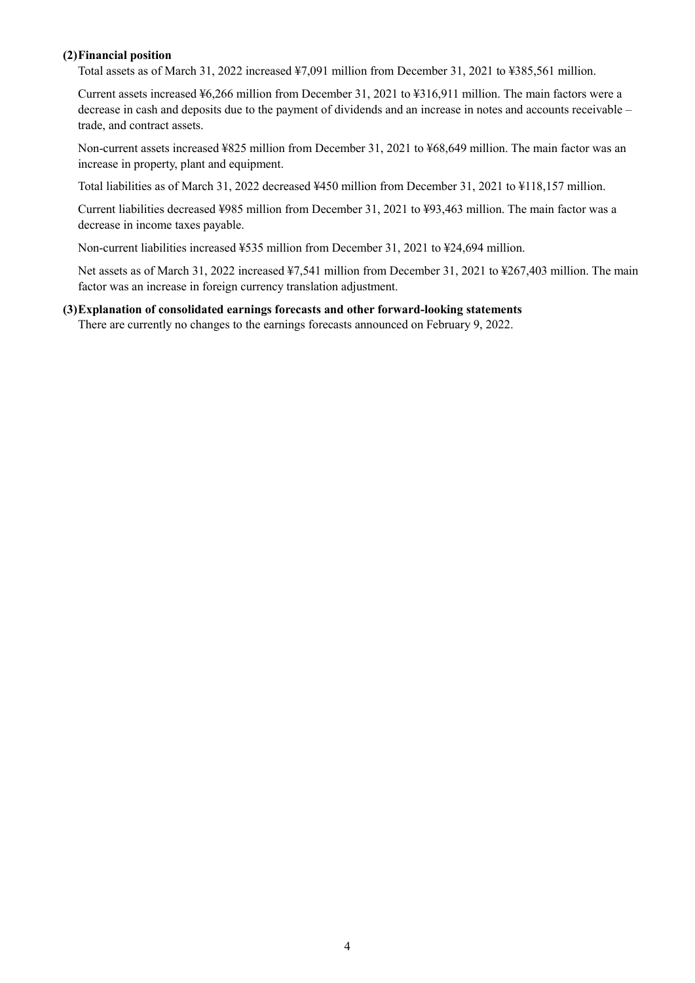### **(2)Financial position**

Total assets as of March 31, 2022 increased ¥7,091 million from December 31, 2021 to ¥385,561 million.

Current assets increased ¥6,266 million from December 31, 2021 to ¥316,911 million. The main factors were a decrease in cash and deposits due to the payment of dividends and an increase in notes and accounts receivable – trade, and contract assets.

Non-current assets increased ¥825 million from December 31, 2021 to ¥68,649 million. The main factor was an increase in property, plant and equipment.

Total liabilities as of March 31, 2022 decreased ¥450 million from December 31, 2021 to ¥118,157 million.

Current liabilities decreased ¥985 million from December 31, 2021 to ¥93,463 million. The main factor was a decrease in income taxes payable.

Non-current liabilities increased ¥535 million from December 31, 2021 to ¥24,694 million.

Net assets as of March 31, 2022 increased ¥7,541 million from December 31, 2021 to ¥267,403 million. The main factor was an increase in foreign currency translation adjustment.

### **(3)Explanation of consolidated earnings forecasts and other forward-looking statements**

There are currently no changes to the earnings forecasts announced on February 9, 2022.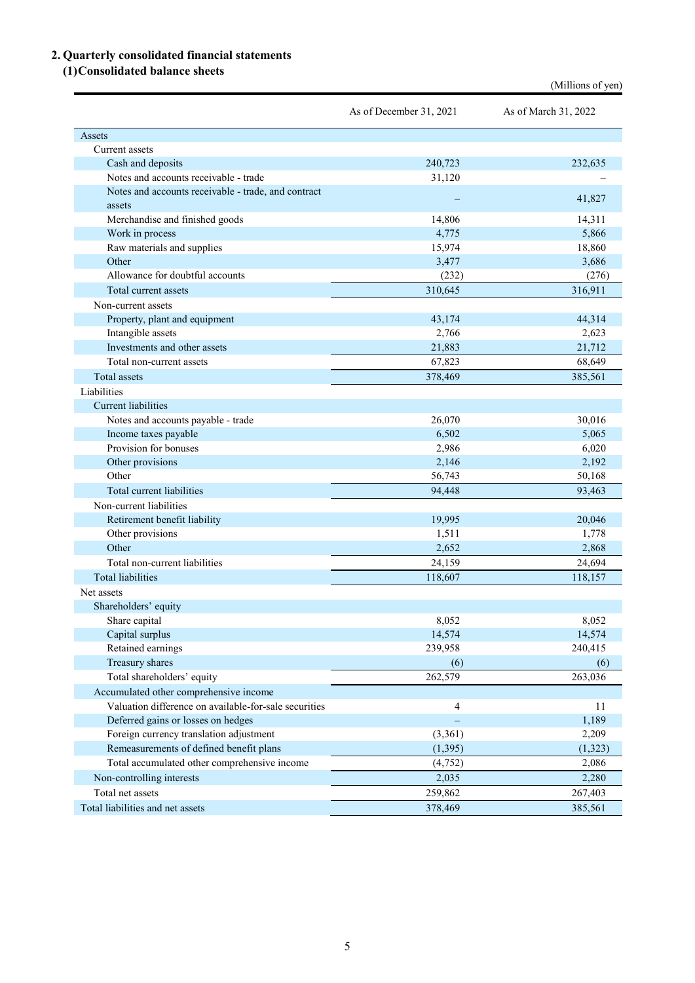# **2. Quarterly consolidated financial statements**

## **(1)Consolidated balance sheets**

| Assets<br>Current assets<br>Cash and deposits<br>240,723<br>232,635<br>Notes and accounts receivable - trade<br>31,120<br>Notes and accounts receivable - trade, and contract<br>41,827<br>assets<br>Merchandise and finished goods<br>14,806<br>14,311<br>4,775<br>Work in process<br>5,866<br>Raw materials and supplies<br>15,974<br>18,860<br>Other<br>3,477<br>3,686<br>Allowance for doubtful accounts<br>(232)<br>(276)<br>Total current assets<br>310,645<br>316,911<br>Non-current assets<br>Property, plant and equipment<br>43,174<br>44,314<br>Intangible assets<br>2,766<br>2,623<br>21,883<br>Investments and other assets<br>21,712<br>67,823<br>Total non-current assets<br>68,649<br>Total assets<br>378,469<br>385,561<br>Liabilities<br>Current liabilities<br>30,016<br>Notes and accounts payable - trade<br>26,070<br>Income taxes payable<br>6,502<br>5,065<br>Provision for bonuses<br>2,986<br>6,020<br>2,192<br>Other provisions<br>2,146<br>Other<br>56,743<br>50,168<br>Total current liabilities<br>94,448<br>93,463<br>Non-current liabilities<br>Retirement benefit liability<br>19,995<br>20,046<br>Other provisions<br>1,511<br>1,778<br>Other<br>2,652<br>2,868<br>Total non-current liabilities<br>24,159<br>24,694<br><b>Total liabilities</b><br>118,607<br>118,157<br>Net assets<br>Shareholders' equity<br>8,052<br>8,052<br>Share capital<br>Capital surplus<br>14,574<br>14,574<br>Retained earnings<br>239,958<br>240,415<br>Treasury shares<br>(6)<br>(6)<br>262,579<br>Total shareholders' equity<br>263,036<br>Accumulated other comprehensive income<br>Valuation difference on available-for-sale securities<br>$\overline{4}$<br>11<br>Deferred gains or losses on hedges<br>1,189<br>Foreign currency translation adjustment<br>(3,361)<br>2,209<br>Remeasurements of defined benefit plans<br>(1, 395)<br>(1, 323)<br>Total accumulated other comprehensive income<br>(4, 752)<br>2,086<br>Non-controlling interests<br>2,035<br>2,280<br>Total net assets<br>259,862<br>267,403 |                                  | As of December 31, 2021 | As of March 31, 2022 |
|------------------------------------------------------------------------------------------------------------------------------------------------------------------------------------------------------------------------------------------------------------------------------------------------------------------------------------------------------------------------------------------------------------------------------------------------------------------------------------------------------------------------------------------------------------------------------------------------------------------------------------------------------------------------------------------------------------------------------------------------------------------------------------------------------------------------------------------------------------------------------------------------------------------------------------------------------------------------------------------------------------------------------------------------------------------------------------------------------------------------------------------------------------------------------------------------------------------------------------------------------------------------------------------------------------------------------------------------------------------------------------------------------------------------------------------------------------------------------------------------------------------------------------------------------------------------------------------------------------------------------------------------------------------------------------------------------------------------------------------------------------------------------------------------------------------------------------------------------------------------------------------------------------------------------------------------------------------------------------------------------------------------------------|----------------------------------|-------------------------|----------------------|
|                                                                                                                                                                                                                                                                                                                                                                                                                                                                                                                                                                                                                                                                                                                                                                                                                                                                                                                                                                                                                                                                                                                                                                                                                                                                                                                                                                                                                                                                                                                                                                                                                                                                                                                                                                                                                                                                                                                                                                                                                                    |                                  |                         |                      |
|                                                                                                                                                                                                                                                                                                                                                                                                                                                                                                                                                                                                                                                                                                                                                                                                                                                                                                                                                                                                                                                                                                                                                                                                                                                                                                                                                                                                                                                                                                                                                                                                                                                                                                                                                                                                                                                                                                                                                                                                                                    |                                  |                         |                      |
|                                                                                                                                                                                                                                                                                                                                                                                                                                                                                                                                                                                                                                                                                                                                                                                                                                                                                                                                                                                                                                                                                                                                                                                                                                                                                                                                                                                                                                                                                                                                                                                                                                                                                                                                                                                                                                                                                                                                                                                                                                    |                                  |                         |                      |
|                                                                                                                                                                                                                                                                                                                                                                                                                                                                                                                                                                                                                                                                                                                                                                                                                                                                                                                                                                                                                                                                                                                                                                                                                                                                                                                                                                                                                                                                                                                                                                                                                                                                                                                                                                                                                                                                                                                                                                                                                                    |                                  |                         |                      |
|                                                                                                                                                                                                                                                                                                                                                                                                                                                                                                                                                                                                                                                                                                                                                                                                                                                                                                                                                                                                                                                                                                                                                                                                                                                                                                                                                                                                                                                                                                                                                                                                                                                                                                                                                                                                                                                                                                                                                                                                                                    |                                  |                         |                      |
|                                                                                                                                                                                                                                                                                                                                                                                                                                                                                                                                                                                                                                                                                                                                                                                                                                                                                                                                                                                                                                                                                                                                                                                                                                                                                                                                                                                                                                                                                                                                                                                                                                                                                                                                                                                                                                                                                                                                                                                                                                    |                                  |                         |                      |
|                                                                                                                                                                                                                                                                                                                                                                                                                                                                                                                                                                                                                                                                                                                                                                                                                                                                                                                                                                                                                                                                                                                                                                                                                                                                                                                                                                                                                                                                                                                                                                                                                                                                                                                                                                                                                                                                                                                                                                                                                                    |                                  |                         |                      |
|                                                                                                                                                                                                                                                                                                                                                                                                                                                                                                                                                                                                                                                                                                                                                                                                                                                                                                                                                                                                                                                                                                                                                                                                                                                                                                                                                                                                                                                                                                                                                                                                                                                                                                                                                                                                                                                                                                                                                                                                                                    |                                  |                         |                      |
|                                                                                                                                                                                                                                                                                                                                                                                                                                                                                                                                                                                                                                                                                                                                                                                                                                                                                                                                                                                                                                                                                                                                                                                                                                                                                                                                                                                                                                                                                                                                                                                                                                                                                                                                                                                                                                                                                                                                                                                                                                    |                                  |                         |                      |
|                                                                                                                                                                                                                                                                                                                                                                                                                                                                                                                                                                                                                                                                                                                                                                                                                                                                                                                                                                                                                                                                                                                                                                                                                                                                                                                                                                                                                                                                                                                                                                                                                                                                                                                                                                                                                                                                                                                                                                                                                                    |                                  |                         |                      |
|                                                                                                                                                                                                                                                                                                                                                                                                                                                                                                                                                                                                                                                                                                                                                                                                                                                                                                                                                                                                                                                                                                                                                                                                                                                                                                                                                                                                                                                                                                                                                                                                                                                                                                                                                                                                                                                                                                                                                                                                                                    |                                  |                         |                      |
|                                                                                                                                                                                                                                                                                                                                                                                                                                                                                                                                                                                                                                                                                                                                                                                                                                                                                                                                                                                                                                                                                                                                                                                                                                                                                                                                                                                                                                                                                                                                                                                                                                                                                                                                                                                                                                                                                                                                                                                                                                    |                                  |                         |                      |
|                                                                                                                                                                                                                                                                                                                                                                                                                                                                                                                                                                                                                                                                                                                                                                                                                                                                                                                                                                                                                                                                                                                                                                                                                                                                                                                                                                                                                                                                                                                                                                                                                                                                                                                                                                                                                                                                                                                                                                                                                                    |                                  |                         |                      |
|                                                                                                                                                                                                                                                                                                                                                                                                                                                                                                                                                                                                                                                                                                                                                                                                                                                                                                                                                                                                                                                                                                                                                                                                                                                                                                                                                                                                                                                                                                                                                                                                                                                                                                                                                                                                                                                                                                                                                                                                                                    |                                  |                         |                      |
|                                                                                                                                                                                                                                                                                                                                                                                                                                                                                                                                                                                                                                                                                                                                                                                                                                                                                                                                                                                                                                                                                                                                                                                                                                                                                                                                                                                                                                                                                                                                                                                                                                                                                                                                                                                                                                                                                                                                                                                                                                    |                                  |                         |                      |
|                                                                                                                                                                                                                                                                                                                                                                                                                                                                                                                                                                                                                                                                                                                                                                                                                                                                                                                                                                                                                                                                                                                                                                                                                                                                                                                                                                                                                                                                                                                                                                                                                                                                                                                                                                                                                                                                                                                                                                                                                                    |                                  |                         |                      |
|                                                                                                                                                                                                                                                                                                                                                                                                                                                                                                                                                                                                                                                                                                                                                                                                                                                                                                                                                                                                                                                                                                                                                                                                                                                                                                                                                                                                                                                                                                                                                                                                                                                                                                                                                                                                                                                                                                                                                                                                                                    |                                  |                         |                      |
|                                                                                                                                                                                                                                                                                                                                                                                                                                                                                                                                                                                                                                                                                                                                                                                                                                                                                                                                                                                                                                                                                                                                                                                                                                                                                                                                                                                                                                                                                                                                                                                                                                                                                                                                                                                                                                                                                                                                                                                                                                    |                                  |                         |                      |
|                                                                                                                                                                                                                                                                                                                                                                                                                                                                                                                                                                                                                                                                                                                                                                                                                                                                                                                                                                                                                                                                                                                                                                                                                                                                                                                                                                                                                                                                                                                                                                                                                                                                                                                                                                                                                                                                                                                                                                                                                                    |                                  |                         |                      |
|                                                                                                                                                                                                                                                                                                                                                                                                                                                                                                                                                                                                                                                                                                                                                                                                                                                                                                                                                                                                                                                                                                                                                                                                                                                                                                                                                                                                                                                                                                                                                                                                                                                                                                                                                                                                                                                                                                                                                                                                                                    |                                  |                         |                      |
|                                                                                                                                                                                                                                                                                                                                                                                                                                                                                                                                                                                                                                                                                                                                                                                                                                                                                                                                                                                                                                                                                                                                                                                                                                                                                                                                                                                                                                                                                                                                                                                                                                                                                                                                                                                                                                                                                                                                                                                                                                    |                                  |                         |                      |
|                                                                                                                                                                                                                                                                                                                                                                                                                                                                                                                                                                                                                                                                                                                                                                                                                                                                                                                                                                                                                                                                                                                                                                                                                                                                                                                                                                                                                                                                                                                                                                                                                                                                                                                                                                                                                                                                                                                                                                                                                                    |                                  |                         |                      |
|                                                                                                                                                                                                                                                                                                                                                                                                                                                                                                                                                                                                                                                                                                                                                                                                                                                                                                                                                                                                                                                                                                                                                                                                                                                                                                                                                                                                                                                                                                                                                                                                                                                                                                                                                                                                                                                                                                                                                                                                                                    |                                  |                         |                      |
|                                                                                                                                                                                                                                                                                                                                                                                                                                                                                                                                                                                                                                                                                                                                                                                                                                                                                                                                                                                                                                                                                                                                                                                                                                                                                                                                                                                                                                                                                                                                                                                                                                                                                                                                                                                                                                                                                                                                                                                                                                    |                                  |                         |                      |
|                                                                                                                                                                                                                                                                                                                                                                                                                                                                                                                                                                                                                                                                                                                                                                                                                                                                                                                                                                                                                                                                                                                                                                                                                                                                                                                                                                                                                                                                                                                                                                                                                                                                                                                                                                                                                                                                                                                                                                                                                                    |                                  |                         |                      |
|                                                                                                                                                                                                                                                                                                                                                                                                                                                                                                                                                                                                                                                                                                                                                                                                                                                                                                                                                                                                                                                                                                                                                                                                                                                                                                                                                                                                                                                                                                                                                                                                                                                                                                                                                                                                                                                                                                                                                                                                                                    |                                  |                         |                      |
|                                                                                                                                                                                                                                                                                                                                                                                                                                                                                                                                                                                                                                                                                                                                                                                                                                                                                                                                                                                                                                                                                                                                                                                                                                                                                                                                                                                                                                                                                                                                                                                                                                                                                                                                                                                                                                                                                                                                                                                                                                    |                                  |                         |                      |
|                                                                                                                                                                                                                                                                                                                                                                                                                                                                                                                                                                                                                                                                                                                                                                                                                                                                                                                                                                                                                                                                                                                                                                                                                                                                                                                                                                                                                                                                                                                                                                                                                                                                                                                                                                                                                                                                                                                                                                                                                                    |                                  |                         |                      |
|                                                                                                                                                                                                                                                                                                                                                                                                                                                                                                                                                                                                                                                                                                                                                                                                                                                                                                                                                                                                                                                                                                                                                                                                                                                                                                                                                                                                                                                                                                                                                                                                                                                                                                                                                                                                                                                                                                                                                                                                                                    |                                  |                         |                      |
|                                                                                                                                                                                                                                                                                                                                                                                                                                                                                                                                                                                                                                                                                                                                                                                                                                                                                                                                                                                                                                                                                                                                                                                                                                                                                                                                                                                                                                                                                                                                                                                                                                                                                                                                                                                                                                                                                                                                                                                                                                    |                                  |                         |                      |
|                                                                                                                                                                                                                                                                                                                                                                                                                                                                                                                                                                                                                                                                                                                                                                                                                                                                                                                                                                                                                                                                                                                                                                                                                                                                                                                                                                                                                                                                                                                                                                                                                                                                                                                                                                                                                                                                                                                                                                                                                                    |                                  |                         |                      |
|                                                                                                                                                                                                                                                                                                                                                                                                                                                                                                                                                                                                                                                                                                                                                                                                                                                                                                                                                                                                                                                                                                                                                                                                                                                                                                                                                                                                                                                                                                                                                                                                                                                                                                                                                                                                                                                                                                                                                                                                                                    |                                  |                         |                      |
|                                                                                                                                                                                                                                                                                                                                                                                                                                                                                                                                                                                                                                                                                                                                                                                                                                                                                                                                                                                                                                                                                                                                                                                                                                                                                                                                                                                                                                                                                                                                                                                                                                                                                                                                                                                                                                                                                                                                                                                                                                    |                                  |                         |                      |
|                                                                                                                                                                                                                                                                                                                                                                                                                                                                                                                                                                                                                                                                                                                                                                                                                                                                                                                                                                                                                                                                                                                                                                                                                                                                                                                                                                                                                                                                                                                                                                                                                                                                                                                                                                                                                                                                                                                                                                                                                                    |                                  |                         |                      |
|                                                                                                                                                                                                                                                                                                                                                                                                                                                                                                                                                                                                                                                                                                                                                                                                                                                                                                                                                                                                                                                                                                                                                                                                                                                                                                                                                                                                                                                                                                                                                                                                                                                                                                                                                                                                                                                                                                                                                                                                                                    |                                  |                         |                      |
|                                                                                                                                                                                                                                                                                                                                                                                                                                                                                                                                                                                                                                                                                                                                                                                                                                                                                                                                                                                                                                                                                                                                                                                                                                                                                                                                                                                                                                                                                                                                                                                                                                                                                                                                                                                                                                                                                                                                                                                                                                    |                                  |                         |                      |
|                                                                                                                                                                                                                                                                                                                                                                                                                                                                                                                                                                                                                                                                                                                                                                                                                                                                                                                                                                                                                                                                                                                                                                                                                                                                                                                                                                                                                                                                                                                                                                                                                                                                                                                                                                                                                                                                                                                                                                                                                                    |                                  |                         |                      |
|                                                                                                                                                                                                                                                                                                                                                                                                                                                                                                                                                                                                                                                                                                                                                                                                                                                                                                                                                                                                                                                                                                                                                                                                                                                                                                                                                                                                                                                                                                                                                                                                                                                                                                                                                                                                                                                                                                                                                                                                                                    |                                  |                         |                      |
|                                                                                                                                                                                                                                                                                                                                                                                                                                                                                                                                                                                                                                                                                                                                                                                                                                                                                                                                                                                                                                                                                                                                                                                                                                                                                                                                                                                                                                                                                                                                                                                                                                                                                                                                                                                                                                                                                                                                                                                                                                    |                                  |                         |                      |
|                                                                                                                                                                                                                                                                                                                                                                                                                                                                                                                                                                                                                                                                                                                                                                                                                                                                                                                                                                                                                                                                                                                                                                                                                                                                                                                                                                                                                                                                                                                                                                                                                                                                                                                                                                                                                                                                                                                                                                                                                                    |                                  |                         |                      |
|                                                                                                                                                                                                                                                                                                                                                                                                                                                                                                                                                                                                                                                                                                                                                                                                                                                                                                                                                                                                                                                                                                                                                                                                                                                                                                                                                                                                                                                                                                                                                                                                                                                                                                                                                                                                                                                                                                                                                                                                                                    |                                  |                         |                      |
|                                                                                                                                                                                                                                                                                                                                                                                                                                                                                                                                                                                                                                                                                                                                                                                                                                                                                                                                                                                                                                                                                                                                                                                                                                                                                                                                                                                                                                                                                                                                                                                                                                                                                                                                                                                                                                                                                                                                                                                                                                    |                                  |                         |                      |
|                                                                                                                                                                                                                                                                                                                                                                                                                                                                                                                                                                                                                                                                                                                                                                                                                                                                                                                                                                                                                                                                                                                                                                                                                                                                                                                                                                                                                                                                                                                                                                                                                                                                                                                                                                                                                                                                                                                                                                                                                                    |                                  |                         |                      |
|                                                                                                                                                                                                                                                                                                                                                                                                                                                                                                                                                                                                                                                                                                                                                                                                                                                                                                                                                                                                                                                                                                                                                                                                                                                                                                                                                                                                                                                                                                                                                                                                                                                                                                                                                                                                                                                                                                                                                                                                                                    |                                  |                         |                      |
|                                                                                                                                                                                                                                                                                                                                                                                                                                                                                                                                                                                                                                                                                                                                                                                                                                                                                                                                                                                                                                                                                                                                                                                                                                                                                                                                                                                                                                                                                                                                                                                                                                                                                                                                                                                                                                                                                                                                                                                                                                    |                                  |                         |                      |
|                                                                                                                                                                                                                                                                                                                                                                                                                                                                                                                                                                                                                                                                                                                                                                                                                                                                                                                                                                                                                                                                                                                                                                                                                                                                                                                                                                                                                                                                                                                                                                                                                                                                                                                                                                                                                                                                                                                                                                                                                                    |                                  |                         |                      |
|                                                                                                                                                                                                                                                                                                                                                                                                                                                                                                                                                                                                                                                                                                                                                                                                                                                                                                                                                                                                                                                                                                                                                                                                                                                                                                                                                                                                                                                                                                                                                                                                                                                                                                                                                                                                                                                                                                                                                                                                                                    |                                  |                         |                      |
|                                                                                                                                                                                                                                                                                                                                                                                                                                                                                                                                                                                                                                                                                                                                                                                                                                                                                                                                                                                                                                                                                                                                                                                                                                                                                                                                                                                                                                                                                                                                                                                                                                                                                                                                                                                                                                                                                                                                                                                                                                    | Total liabilities and net assets | 378,469                 | 385,561              |

(Millions of yen)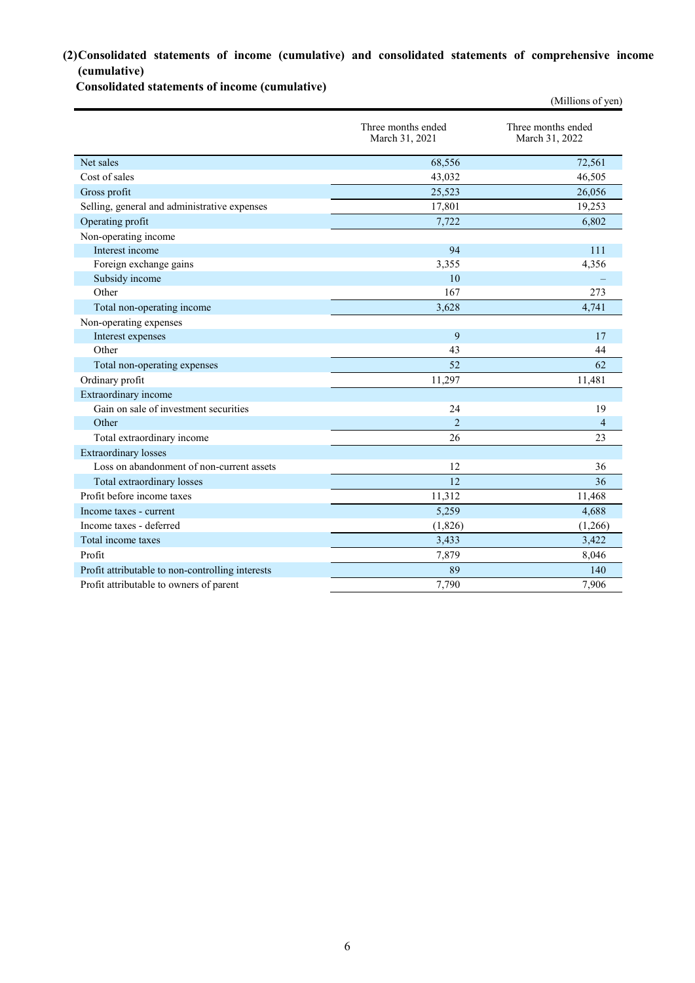## **(2)Consolidated statements of income (cumulative) and consolidated statements of comprehensive income (cumulative)**

**Consolidated statements of income (cumulative)**

|                                                  |                                      | (Millions of yen)                    |
|--------------------------------------------------|--------------------------------------|--------------------------------------|
|                                                  | Three months ended<br>March 31, 2021 | Three months ended<br>March 31, 2022 |
| Net sales                                        | 68,556                               | 72,561                               |
| Cost of sales                                    | 43,032                               | 46,505                               |
| Gross profit                                     | 25,523                               | 26,056                               |
| Selling, general and administrative expenses     | 17,801                               | 19,253                               |
| Operating profit                                 | 7,722                                | 6,802                                |
| Non-operating income                             |                                      |                                      |
| Interest income                                  | 94                                   | 111                                  |
| Foreign exchange gains                           | 3,355                                | 4,356                                |
| Subsidy income                                   | 10                                   |                                      |
| Other                                            | 167                                  | 273                                  |
| Total non-operating income                       | 3,628                                | 4,741                                |
| Non-operating expenses                           |                                      |                                      |
| Interest expenses                                | 9                                    | 17                                   |
| Other                                            | 43                                   | 44                                   |
| Total non-operating expenses                     | 52                                   | 62                                   |
| Ordinary profit                                  | 11,297                               | 11,481                               |
| Extraordinary income                             |                                      |                                      |
| Gain on sale of investment securities            | 24                                   | 19                                   |
| Other                                            | $\overline{2}$                       | 4                                    |
| Total extraordinary income                       | 26                                   | 23                                   |
| <b>Extraordinary</b> losses                      |                                      |                                      |
| Loss on abandonment of non-current assets        | 12                                   | 36                                   |
| Total extraordinary losses                       | $\overline{12}$                      | 36                                   |
| Profit before income taxes                       | 11,312                               | 11,468                               |
| Income taxes - current                           | 5,259                                | 4,688                                |
| Income taxes - deferred                          | (1,826)                              | (1,266)                              |
| Total income taxes                               | 3,433                                | 3,422                                |
| Profit                                           | 7,879                                | 8,046                                |
| Profit attributable to non-controlling interests | 89                                   | 140                                  |
| Profit attributable to owners of parent          | 7,790                                | 7,906                                |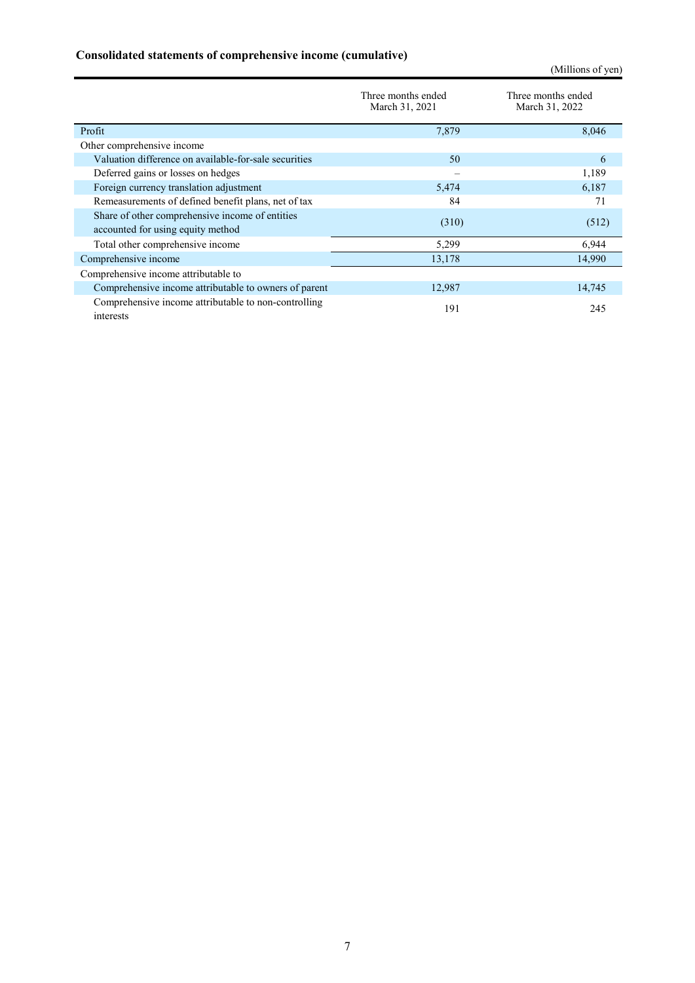# **Consolidated statements of comprehensive income (cumulative)**

(Millions of yen)

|                                                                                      | Three months ended<br>March 31, 2021 | Three months ended<br>March 31, 2022 |
|--------------------------------------------------------------------------------------|--------------------------------------|--------------------------------------|
| Profit                                                                               | 7,879                                | 8,046                                |
| Other comprehensive income                                                           |                                      |                                      |
| Valuation difference on available-for-sale securities                                | 50                                   | 6                                    |
| Deferred gains or losses on hedges                                                   |                                      | 1,189                                |
| Foreign currency translation adjustment                                              | 5,474                                | 6,187                                |
| Remeasurements of defined benefit plans, net of tax                                  | 84                                   | 71                                   |
| Share of other comprehensive income of entities<br>accounted for using equity method | (310)                                | (512)                                |
| Total other comprehensive income                                                     | 5,299                                | 6,944                                |
| Comprehensive income                                                                 | 13,178                               | 14,990                               |
| Comprehensive income attributable to                                                 |                                      |                                      |
| Comprehensive income attributable to owners of parent                                | 12,987                               | 14,745                               |
| Comprehensive income attributable to non-controlling<br>interests                    | 191                                  | 245                                  |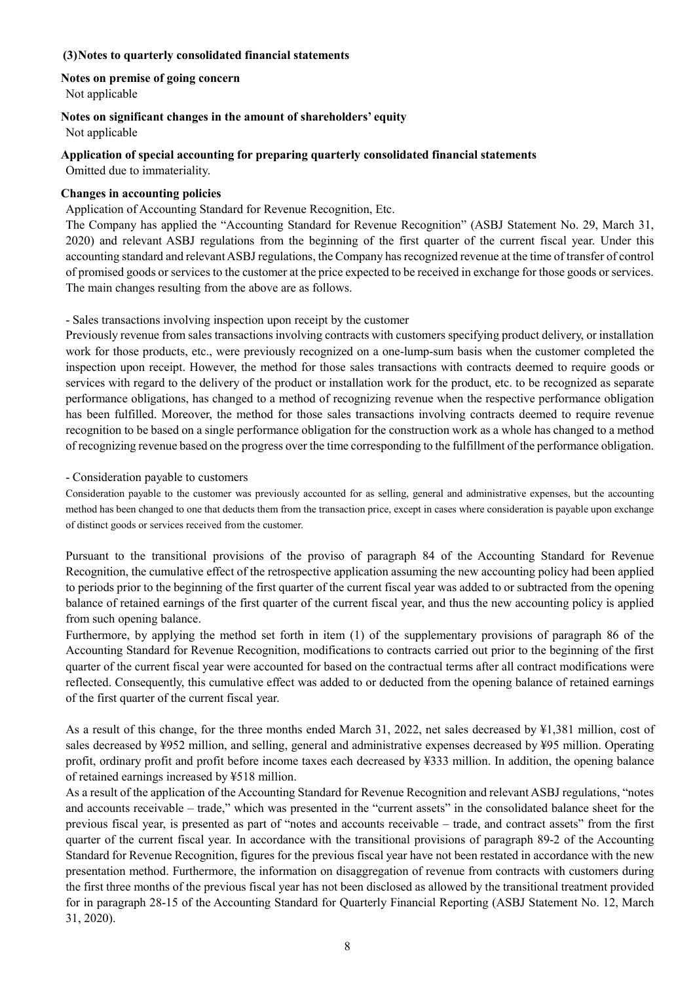### **(3)Notes to quarterly consolidated financial statements**

### **Notes on premise of going concern**

Not applicable

### **Notes on significant changes in the amount of shareholders' equity**

Not applicable

### **Application of special accounting for preparing quarterly consolidated financial statements**

Omitted due to immateriality.

### **Changes in accounting policies**

### Application of Accounting Standard for Revenue Recognition, Etc.

The Company has applied the "Accounting Standard for Revenue Recognition" (ASBJ Statement No. 29, March 31, 2020) and relevant ASBJ regulations from the beginning of the first quarter of the current fiscal year. Under this accounting standard and relevant ASBJ regulations, the Company has recognized revenue at the time of transfer of control of promised goods or services to the customer at the price expected to be received in exchange for those goods or services. The main changes resulting from the above are as follows.

### - Sales transactions involving inspection upon receipt by the customer

Previously revenue from sales transactions involving contracts with customers specifying product delivery, or installation work for those products, etc., were previously recognized on a one-lump-sum basis when the customer completed the inspection upon receipt. However, the method for those sales transactions with contracts deemed to require goods or services with regard to the delivery of the product or installation work for the product, etc. to be recognized as separate performance obligations, has changed to a method of recognizing revenue when the respective performance obligation has been fulfilled. Moreover, the method for those sales transactions involving contracts deemed to require revenue recognition to be based on a single performance obligation for the construction work as a whole has changed to a method of recognizing revenue based on the progress over the time corresponding to the fulfillment of the performance obligation.

### - Consideration payable to customers

Consideration payable to the customer was previously accounted for as selling, general and administrative expenses, but the accounting method has been changed to one that deducts them from the transaction price, except in cases where consideration is payable upon exchange of distinct goods or services received from the customer.

Pursuant to the transitional provisions of the proviso of paragraph 84 of the Accounting Standard for Revenue Recognition, the cumulative effect of the retrospective application assuming the new accounting policy had been applied to periods prior to the beginning of the first quarter of the current fiscal year was added to or subtracted from the opening balance of retained earnings of the first quarter of the current fiscal year, and thus the new accounting policy is applied from such opening balance.

Furthermore, by applying the method set forth in item (1) of the supplementary provisions of paragraph 86 of the Accounting Standard for Revenue Recognition, modifications to contracts carried out prior to the beginning of the first quarter of the current fiscal year were accounted for based on the contractual terms after all contract modifications were reflected. Consequently, this cumulative effect was added to or deducted from the opening balance of retained earnings of the first quarter of the current fiscal year.

As a result of this change, for the three months ended March 31, 2022, net sales decreased by ¥1,381 million, cost of sales decreased by ¥952 million, and selling, general and administrative expenses decreased by ¥95 million. Operating profit, ordinary profit and profit before income taxes each decreased by ¥333 million. In addition, the opening balance of retained earnings increased by ¥518 million.

As a result of the application of the Accounting Standard for Revenue Recognition and relevant ASBJ regulations, "notes and accounts receivable – trade," which was presented in the "current assets" in the consolidated balance sheet for the previous fiscal year, is presented as part of "notes and accounts receivable – trade, and contract assets" from the first quarter of the current fiscal year. In accordance with the transitional provisions of paragraph 89-2 of the Accounting Standard for Revenue Recognition, figures for the previous fiscal year have not been restated in accordance with the new presentation method. Furthermore, the information on disaggregation of revenue from contracts with customers during the first three months of the previous fiscal year has not been disclosed as allowed by the transitional treatment provided for in paragraph 28-15 of the Accounting Standard for Quarterly Financial Reporting (ASBJ Statement No. 12, March 31, 2020).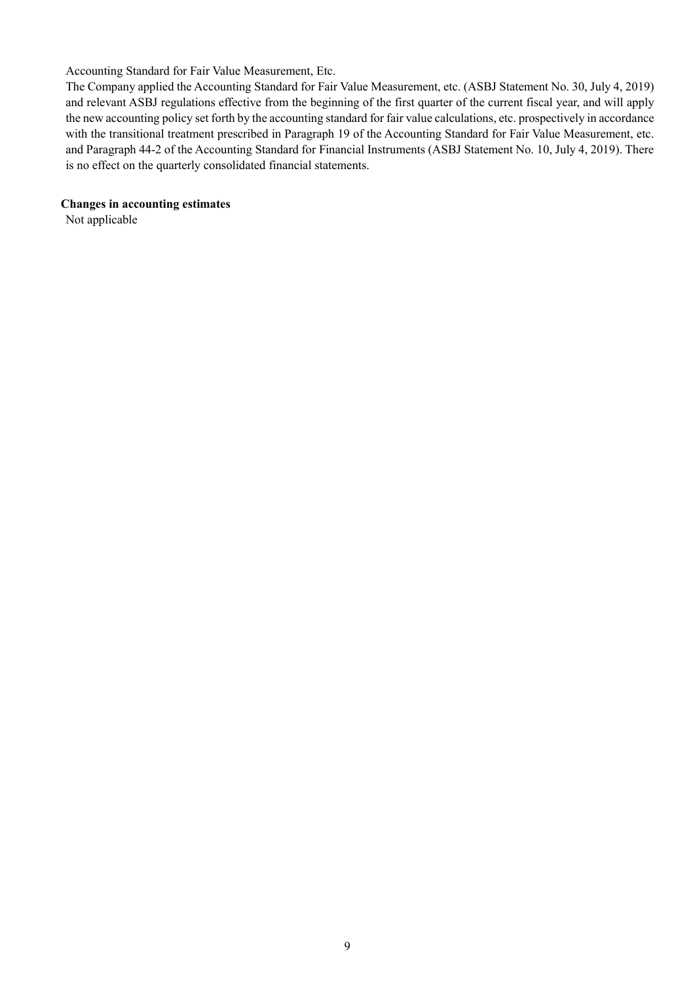Accounting Standard for Fair Value Measurement, Etc.

The Company applied the Accounting Standard for Fair Value Measurement, etc. (ASBJ Statement No. 30, July 4, 2019) and relevant ASBJ regulations effective from the beginning of the first quarter of the current fiscal year, and will apply the new accounting policy set forth by the accounting standard for fair value calculations, etc. prospectively in accordance with the transitional treatment prescribed in Paragraph 19 of the Accounting Standard for Fair Value Measurement, etc. and Paragraph 44-2 of the Accounting Standard for Financial Instruments (ASBJ Statement No. 10, July 4, 2019). There is no effect on the quarterly consolidated financial statements.

**Changes in accounting estimates** 

Not applicable